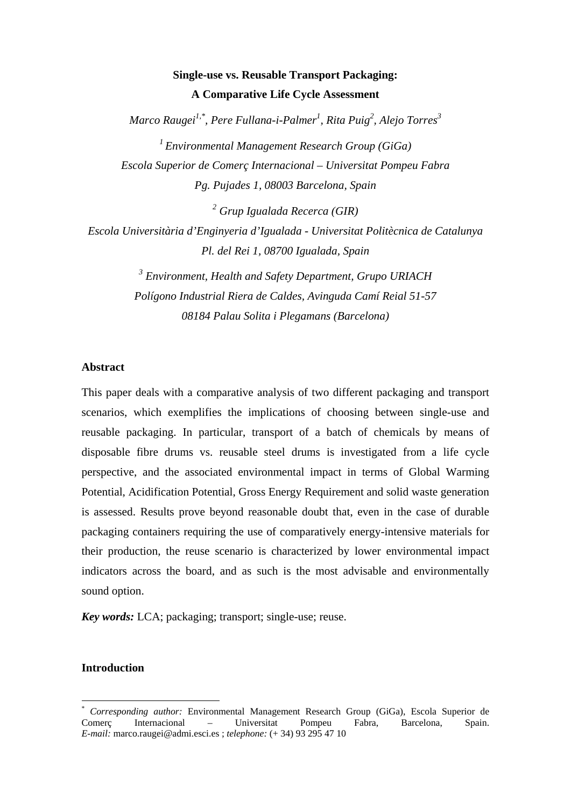# **Single-use vs. Reusable Transport Packaging: A Comparative Life Cycle Assessment**

*Marco Raugei1,\*, Pere Fullana-i-Palmer1 , Rita Puig<sup>2</sup> , Alejo Torres<sup>3</sup>*

*1 Environmental Management Research Group (GiGa) Escola Superior de Comerç Internacional – Universitat Pompeu Fabra Pg. Pujades 1, 08003 Barcelona, Spain* 

*2 Grup Igualada Recerca (GIR) Escola Universitària d'Enginyeria d'Igualada - Universitat Politècnica de Catalunya Pl. del Rei 1, 08700 Igualada, Spain* 

> *3 Environment, Health and Safety Department, Grupo URIACH Polígono Industrial Riera de Caldes, Avinguda Camí Reial 51-57 08184 Palau Solita i Plegamans (Barcelona)*

### **Abstract**

This paper deals with a comparative analysis of two different packaging and transport scenarios, which exemplifies the implications of choosing between single-use and reusable packaging. In particular, transport of a batch of chemicals by means of disposable fibre drums vs. reusable steel drums is investigated from a life cycle perspective, and the associated environmental impact in terms of Global Warming Potential, Acidification Potential, Gross Energy Requirement and solid waste generation is assessed. Results prove beyond reasonable doubt that, even in the case of durable packaging containers requiring the use of comparatively energy-intensive materials for their production, the reuse scenario is characterized by lower environmental impact indicators across the board, and as such is the most advisable and environmentally sound option.

*Key words:* LCA; packaging; transport; single-use; reuse.

## **Introduction**

1

<sup>\*</sup> *Corresponding author:* Environmental Management Research Group (GiGa), Escola Superior de Comerç Internacional – Universitat Pompeu Fabra, Barcelona, Spain. *E-mail:* marco.raugei@admi.esci.es ; *telephone:* (+ 34) 93 295 47 10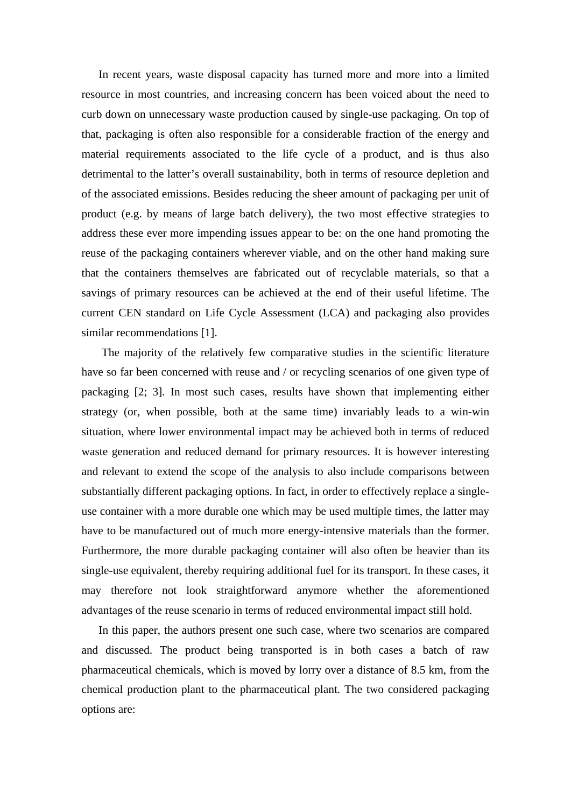In recent years, waste disposal capacity has turned more and more into a limited resource in most countries, and increasing concern has been voiced about the need to curb down on unnecessary waste production caused by single-use packaging. On top of that, packaging is often also responsible for a considerable fraction of the energy and material requirements associated to the life cycle of a product, and is thus also detrimental to the latter's overall sustainability, both in terms of resource depletion and of the associated emissions. Besides reducing the sheer amount of packaging per unit of product (e.g. by means of large batch delivery), the two most effective strategies to address these ever more impending issues appear to be: on the one hand promoting the reuse of the packaging containers wherever viable, and on the other hand making sure that the containers themselves are fabricated out of recyclable materials, so that a savings of primary resources can be achieved at the end of their useful lifetime. The current CEN standard on Life Cycle Assessment (LCA) and packaging also provides similar recommendations [1].

 The majority of the relatively few comparative studies in the scientific literature have so far been concerned with reuse and / or recycling scenarios of one given type of packaging [2; 3]. In most such cases, results have shown that implementing either strategy (or, when possible, both at the same time) invariably leads to a win-win situation, where lower environmental impact may be achieved both in terms of reduced waste generation and reduced demand for primary resources. It is however interesting and relevant to extend the scope of the analysis to also include comparisons between substantially different packaging options. In fact, in order to effectively replace a singleuse container with a more durable one which may be used multiple times, the latter may have to be manufactured out of much more energy-intensive materials than the former. Furthermore, the more durable packaging container will also often be heavier than its single-use equivalent, thereby requiring additional fuel for its transport. In these cases, it may therefore not look straightforward anymore whether the aforementioned advantages of the reuse scenario in terms of reduced environmental impact still hold.

In this paper, the authors present one such case, where two scenarios are compared and discussed. The product being transported is in both cases a batch of raw pharmaceutical chemicals, which is moved by lorry over a distance of 8.5 km, from the chemical production plant to the pharmaceutical plant. The two considered packaging options are: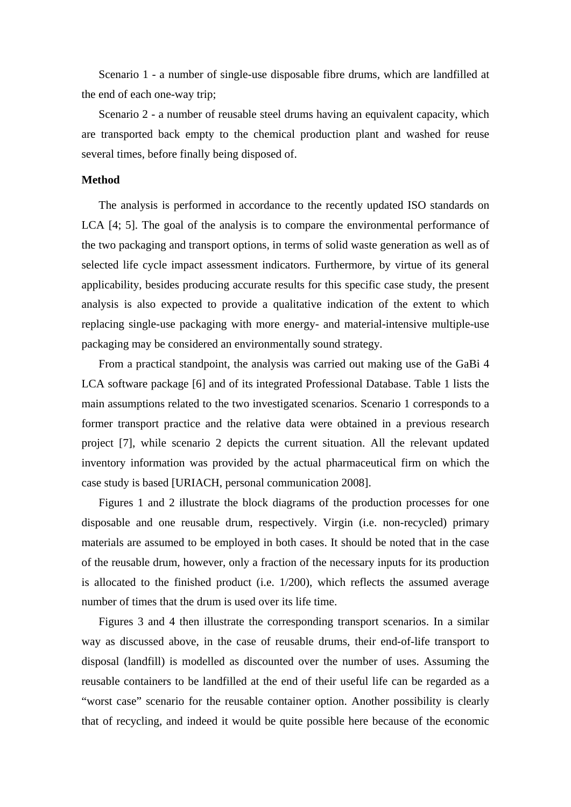Scenario 1 - a number of single-use disposable fibre drums, which are landfilled at the end of each one-way trip;

Scenario 2 - a number of reusable steel drums having an equivalent capacity, which are transported back empty to the chemical production plant and washed for reuse several times, before finally being disposed of.

#### **Method**

The analysis is performed in accordance to the recently updated ISO standards on LCA [4; 5]. The goal of the analysis is to compare the environmental performance of the two packaging and transport options, in terms of solid waste generation as well as of selected life cycle impact assessment indicators. Furthermore, by virtue of its general applicability, besides producing accurate results for this specific case study, the present analysis is also expected to provide a qualitative indication of the extent to which replacing single-use packaging with more energy- and material-intensive multiple-use packaging may be considered an environmentally sound strategy.

From a practical standpoint, the analysis was carried out making use of the GaBi 4 LCA software package [6] and of its integrated Professional Database. Table 1 lists the main assumptions related to the two investigated scenarios. Scenario 1 corresponds to a former transport practice and the relative data were obtained in a previous research project [7], while scenario 2 depicts the current situation. All the relevant updated inventory information was provided by the actual pharmaceutical firm on which the case study is based [URIACH, personal communication 2008].

Figures 1 and 2 illustrate the block diagrams of the production processes for one disposable and one reusable drum, respectively. Virgin (i.e. non-recycled) primary materials are assumed to be employed in both cases. It should be noted that in the case of the reusable drum, however, only a fraction of the necessary inputs for its production is allocated to the finished product (i.e. 1/200), which reflects the assumed average number of times that the drum is used over its life time.

Figures 3 and 4 then illustrate the corresponding transport scenarios. In a similar way as discussed above, in the case of reusable drums, their end-of-life transport to disposal (landfill) is modelled as discounted over the number of uses. Assuming the reusable containers to be landfilled at the end of their useful life can be regarded as a "worst case" scenario for the reusable container option. Another possibility is clearly that of recycling, and indeed it would be quite possible here because of the economic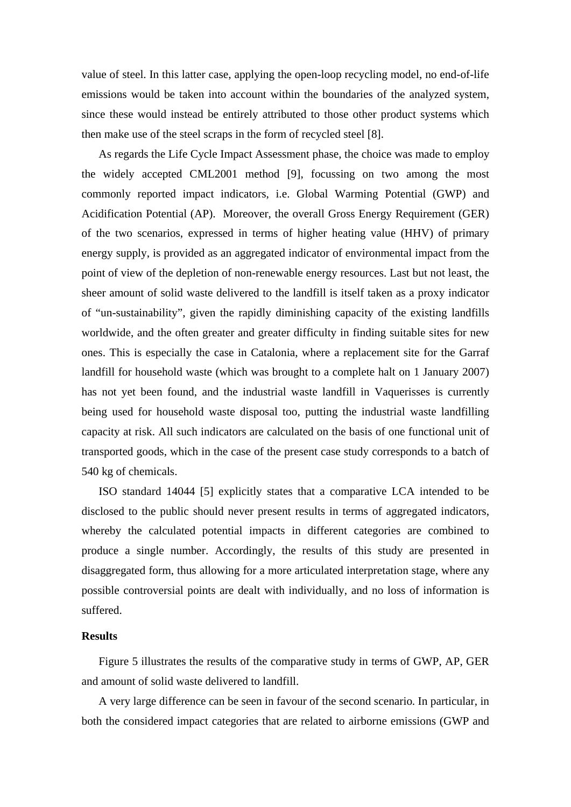value of steel. In this latter case, applying the open-loop recycling model, no end-of-life emissions would be taken into account within the boundaries of the analyzed system, since these would instead be entirely attributed to those other product systems which then make use of the steel scraps in the form of recycled steel [8].

As regards the Life Cycle Impact Assessment phase, the choice was made to employ the widely accepted CML2001 method [9], focussing on two among the most commonly reported impact indicators, i.e. Global Warming Potential (GWP) and Acidification Potential (AP). Moreover, the overall Gross Energy Requirement (GER) of the two scenarios, expressed in terms of higher heating value (HHV) of primary energy supply, is provided as an aggregated indicator of environmental impact from the point of view of the depletion of non-renewable energy resources. Last but not least, the sheer amount of solid waste delivered to the landfill is itself taken as a proxy indicator of "un-sustainability", given the rapidly diminishing capacity of the existing landfills worldwide, and the often greater and greater difficulty in finding suitable sites for new ones. This is especially the case in Catalonia, where a replacement site for the Garraf landfill for household waste (which was brought to a complete halt on 1 January 2007) has not yet been found, and the industrial waste landfill in Vaquerisses is currently being used for household waste disposal too, putting the industrial waste landfilling capacity at risk. All such indicators are calculated on the basis of one functional unit of transported goods, which in the case of the present case study corresponds to a batch of 540 kg of chemicals.

ISO standard 14044 [5] explicitly states that a comparative LCA intended to be disclosed to the public should never present results in terms of aggregated indicators, whereby the calculated potential impacts in different categories are combined to produce a single number. Accordingly, the results of this study are presented in disaggregated form, thus allowing for a more articulated interpretation stage, where any possible controversial points are dealt with individually, and no loss of information is suffered.

## **Results**

Figure 5 illustrates the results of the comparative study in terms of GWP, AP, GER and amount of solid waste delivered to landfill.

A very large difference can be seen in favour of the second scenario. In particular, in both the considered impact categories that are related to airborne emissions (GWP and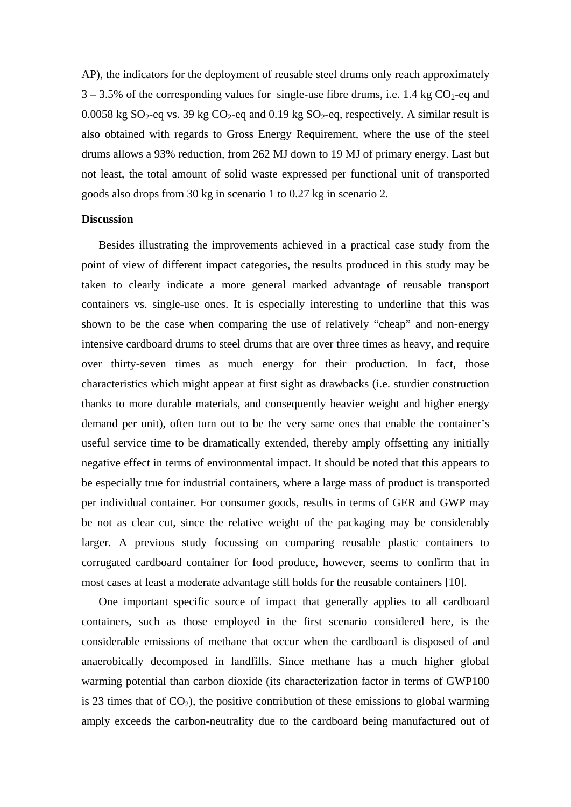AP), the indicators for the deployment of reusable steel drums only reach approximately  $3 - 3.5\%$  of the corresponding values for single-use fibre drums, i.e. 1.4 kg CO<sub>2</sub>-eq and 0.0058 kg  $SO_2$ -eq vs. 39 kg  $CO_2$ -eq and 0.19 kg  $SO_2$ -eq, respectively. A similar result is also obtained with regards to Gross Energy Requirement, where the use of the steel drums allows a 93% reduction, from 262 MJ down to 19 MJ of primary energy. Last but not least, the total amount of solid waste expressed per functional unit of transported goods also drops from 30 kg in scenario 1 to 0.27 kg in scenario 2.

#### **Discussion**

Besides illustrating the improvements achieved in a practical case study from the point of view of different impact categories, the results produced in this study may be taken to clearly indicate a more general marked advantage of reusable transport containers vs. single-use ones. It is especially interesting to underline that this was shown to be the case when comparing the use of relatively "cheap" and non-energy intensive cardboard drums to steel drums that are over three times as heavy, and require over thirty-seven times as much energy for their production. In fact, those characteristics which might appear at first sight as drawbacks (i.e. sturdier construction thanks to more durable materials, and consequently heavier weight and higher energy demand per unit), often turn out to be the very same ones that enable the container's useful service time to be dramatically extended, thereby amply offsetting any initially negative effect in terms of environmental impact. It should be noted that this appears to be especially true for industrial containers, where a large mass of product is transported per individual container. For consumer goods, results in terms of GER and GWP may be not as clear cut, since the relative weight of the packaging may be considerably larger. A previous study focussing on comparing reusable plastic containers to corrugated cardboard container for food produce, however, seems to confirm that in most cases at least a moderate advantage still holds for the reusable containers [10].

One important specific source of impact that generally applies to all cardboard containers, such as those employed in the first scenario considered here, is the considerable emissions of methane that occur when the cardboard is disposed of and anaerobically decomposed in landfills. Since methane has a much higher global warming potential than carbon dioxide (its characterization factor in terms of GWP100 is 23 times that of  $CO<sub>2</sub>$ ), the positive contribution of these emissions to global warming amply exceeds the carbon-neutrality due to the cardboard being manufactured out of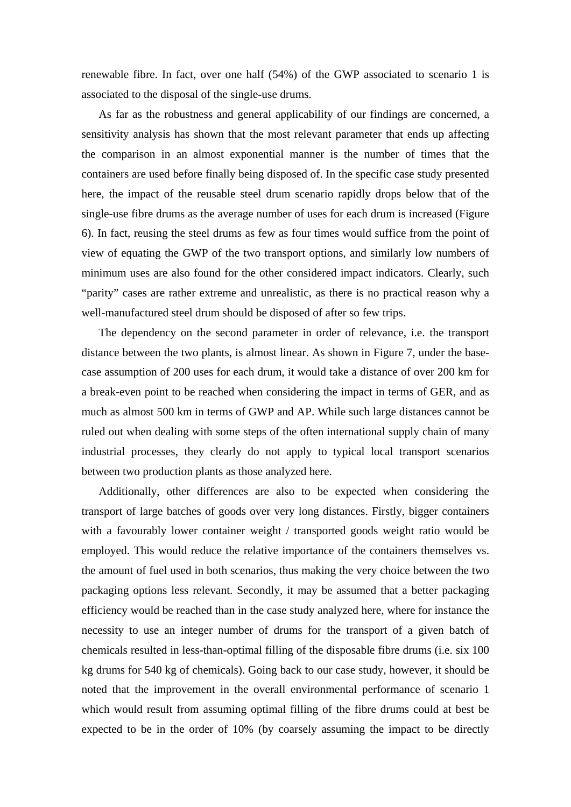renewable fibre. In fact, over one half (54%) of the GWP associated to scenario 1 is associated to the disposal of the single-use drums.

As far as the robustness and general applicability of our findings are concerned, a sensitivity analysis has shown that the most relevant parameter that ends up affecting the comparison in an almost exponential manner is the number of times that the containers are used before finally being disposed of. In the specific case study presented here, the impact of the reusable steel drum scenario rapidly drops below that of the single-use fibre drums as the average number of uses for each drum is increased (Figure 6). In fact, reusing the steel drums as few as four times would suffice from the point of view of equating the GWP of the two transport options, and similarly low numbers of minimum uses are also found for the other considered impact indicators. Clearly, such "parity" cases are rather extreme and unrealistic, as there is no practical reason why a well-manufactured steel drum should be disposed of after so few trips.

The dependency on the second parameter in order of relevance, i.e. the transport distance between the two plants, is almost linear. As shown in Figure 7, under the basecase assumption of 200 uses for each drum, it would take a distance of over 200 km for a break-even point to be reached when considering the impact in terms of GER, and as much as almost 500 km in terms of GWP and AP. While such large distances cannot be ruled out when dealing with some steps of the often international supply chain of many industrial processes, they clearly do not apply to typical local transport scenarios between two production plants as those analyzed here.

Additionally, other differences are also to be expected when considering the transport of large batches of goods over very long distances. Firstly, bigger containers with a favourably lower container weight / transported goods weight ratio would be employed. This would reduce the relative importance of the containers themselves vs. the amount of fuel used in both scenarios, thus making the very choice between the two packaging options less relevant. Secondly, it may be assumed that a better packaging efficiency would be reached than in the case study analyzed here, where for instance the necessity to use an integer number of drums for the transport of a given batch of chemicals resulted in less-than-optimal filling of the disposable fibre drums (i.e. six 100 kg drums for 540 kg of chemicals). Going back to our case study, however, it should be noted that the improvement in the overall environmental performance of scenario 1 which would result from assuming optimal filling of the fibre drums could at best be expected to be in the order of 10% (by coarsely assuming the impact to be directly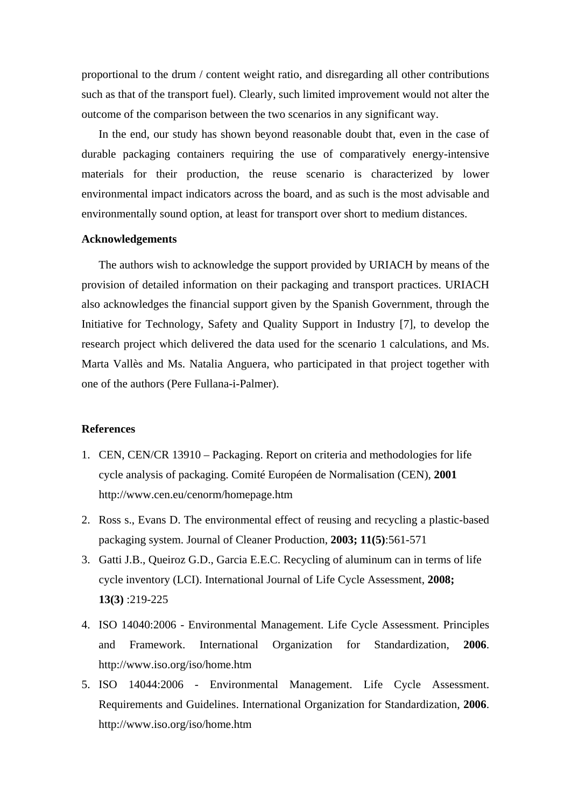proportional to the drum / content weight ratio, and disregarding all other contributions such as that of the transport fuel). Clearly, such limited improvement would not alter the outcome of the comparison between the two scenarios in any significant way.

In the end, our study has shown beyond reasonable doubt that, even in the case of durable packaging containers requiring the use of comparatively energy-intensive materials for their production, the reuse scenario is characterized by lower environmental impact indicators across the board, and as such is the most advisable and environmentally sound option, at least for transport over short to medium distances.

#### **Acknowledgements**

The authors wish to acknowledge the support provided by URIACH by means of the provision of detailed information on their packaging and transport practices. URIACH also acknowledges the financial support given by the Spanish Government, through the Initiative for Technology, Safety and Quality Support in Industry [7], to develop the research project which delivered the data used for the scenario 1 calculations, and Ms. Marta Vallès and Ms. Natalia Anguera, who participated in that project together with one of the authors (Pere Fullana-i-Palmer).

#### **References**

- 1. CEN, CEN/CR 13910 Packaging. Report on criteria and methodologies for life cycle analysis of packaging. Comité Européen de Normalisation (CEN), **2001** http://www.cen.eu/cenorm/homepage.htm
- 2. Ross s., Evans D. The environmental effect of reusing and recycling a plastic-based packaging system. Journal of Cleaner Production, **2003; 11(5)**:561-571
- 3. Gatti J.B., Queiroz G.D., Garcia E.E.C. Recycling of aluminum can in terms of life cycle inventory (LCI). International Journal of Life Cycle Assessment, **2008; 13(3)** :219-225
- 4. ISO 14040:2006 Environmental Management. Life Cycle Assessment. Principles and Framework. International Organization for Standardization, **2006**. http://www.iso.org/iso/home.htm
- 5. ISO 14044:2006 Environmental Management. Life Cycle Assessment. Requirements and Guidelines. International Organization for Standardization, **2006**. http://www.iso.org/iso/home.htm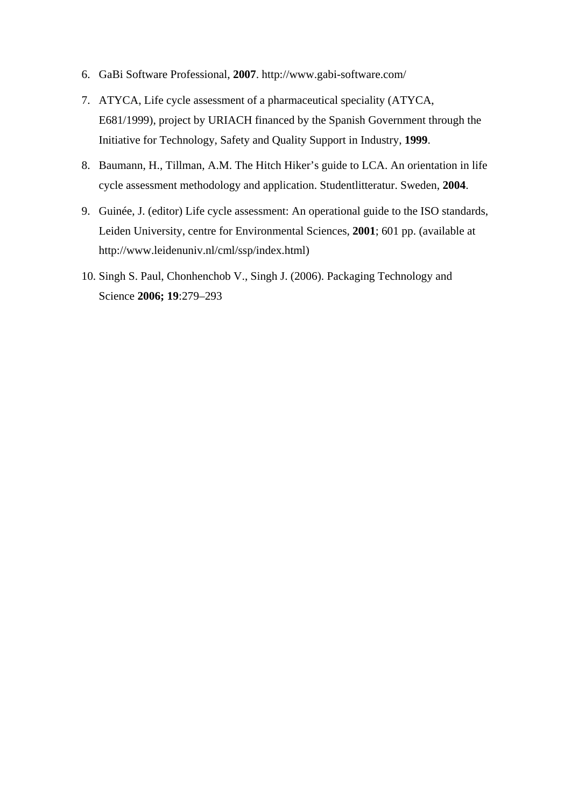- 6. GaBi Software Professional, **2007**. http://www.gabi-software.com/
- 7. ATYCA, Life cycle assessment of a pharmaceutical speciality (ATYCA, E681/1999), project by URIACH financed by the Spanish Government through the Initiative for Technology, Safety and Quality Support in Industry, **1999**.
- 8. Baumann, H., Tillman, A.M. The Hitch Hiker's guide to LCA. An orientation in life cycle assessment methodology and application. Studentlitteratur. Sweden, **2004**.
- 9. Guinée, J. (editor) Life cycle assessment: An operational guide to the ISO standards, Leiden University, centre for Environmental Sciences, **2001**; 601 pp. (available at http://www.leidenuniv.nl/cml/ssp/index.html)
- 10. Singh S. Paul, Chonhenchob V., Singh J. (2006). Packaging Technology and Science **2006; 19**:279–293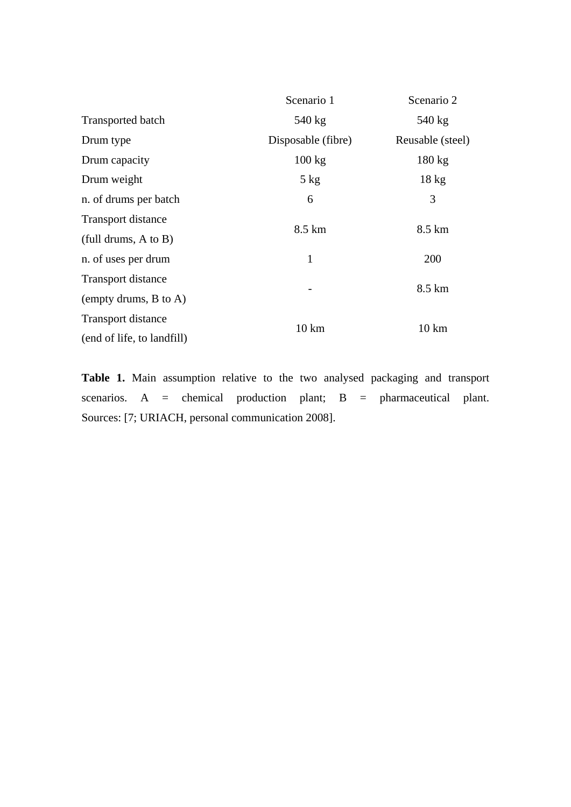|                                                 | Scenario 1         | Scenario 2       |
|-------------------------------------------------|--------------------|------------------|
| Transported batch                               | 540 kg             | 540 kg           |
| Drum type                                       | Disposable (fibre) | Reusable (steel) |
| Drum capacity                                   | $100 \text{ kg}$   | $180 \text{ kg}$ |
| Drum weight                                     | $5$ kg             | $18 \text{ kg}$  |
| n. of drums per batch                           | 6                  | 3                |
| Transport distance                              |                    | 8.5 km           |
| $(tull \, \, \text{drums}, \, A \text{ to } B)$ | 8.5 km             |                  |
| n. of uses per drum                             | $\mathbf{1}$       | 200              |
| Transport distance                              |                    | 8.5 km           |
| (empty drums, $B$ to $A$ )                      |                    |                  |
| <b>Transport distance</b>                       |                    | $10 \mathrm{km}$ |
| (end of life, to landfill)                      | $10 \mathrm{km}$   |                  |

**Table 1.** Main assumption relative to the two analysed packaging and transport scenarios. A = chemical production plant; B = pharmaceutical plant. Sources: [7; URIACH, personal communication 2008].